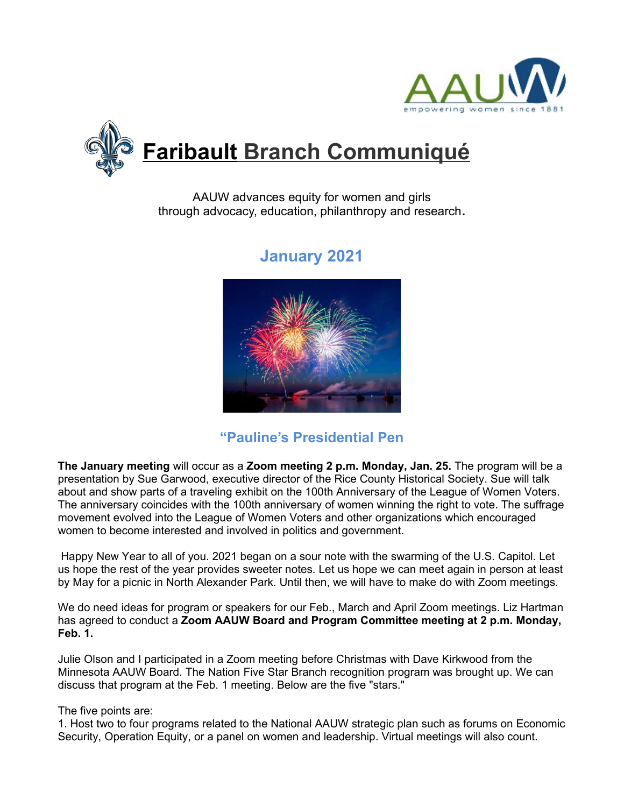



AAUW advances equity for women and girls through advocacy, education, philanthropy and research**.**

# **January 2021**

# **"Pauline's Presidential Pen**

**The January meeting** will occur as a **Zoom meeting 2 p.m. Monday, Jan. 25.** The program will be a presentation by Sue Garwood, executive director of the Rice County Historical Society. Sue will talk about and show parts of a traveling exhibit on the 100th Anniversary of the League of Women Voters. The anniversary coincides with the 100th anniversary of women winning the right to vote. The suffrage movement evolved into the League of Women Voters and other organizations which encouraged women to become interested and involved in politics and government.

 Happy New Year to all of you. 2021 began on a sour note with the swarming of the U.S. Capitol. Let us hope the rest of the year provides sweeter notes. Let us hope we can meet again in person at least by May for a picnic in North Alexander Park. Until then, we will have to make do with Zoom meetings.

We do need ideas for program or speakers for our Feb., March and April Zoom meetings. Liz Hartman has agreed to conduct a **Zoom AAUW Board and Program Committee meeting at 2 p.m. Monday, Feb. 1.**

Julie Olson and I participated in a Zoom meeting before Christmas with Dave Kirkwood from the Minnesota AAUW Board. The Nation Five Star Branch recognition program was brought up. We can discuss that program at the Feb. 1 meeting. Below are the five "stars."

#### The five points are:

1. Host two to four programs related to the National AAUW strategic plan such as forums on Economic Security, Operation Equity, or a panel on women and leadership. Virtual meetings will also count.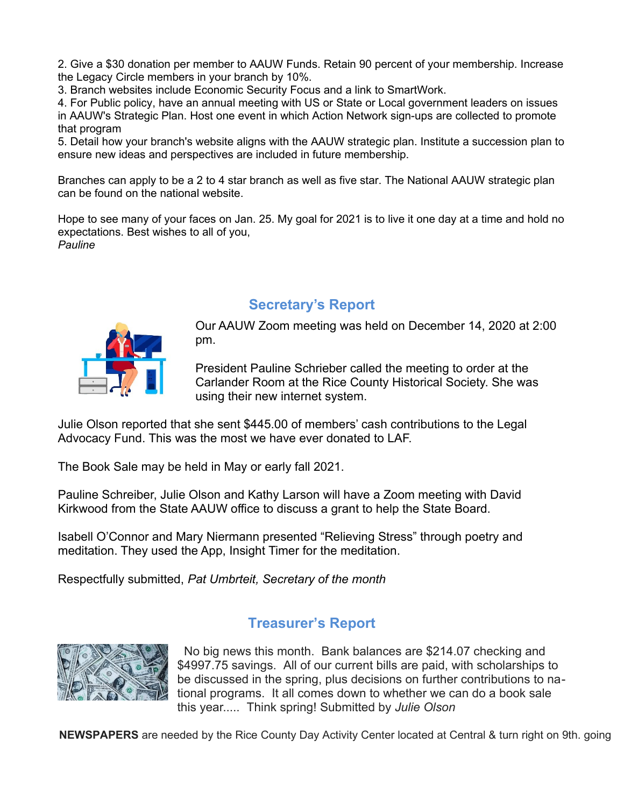2. Give a \$30 donation per member to AAUW Funds. Retain 90 percent of your membership. Increase the Legacy Circle members in your branch by 10%.

3. Branch websites include Economic Security Focus and a link to SmartWork.

4. For Public policy, have an annual meeting with US or State or Local government leaders on issues in AAUW's Strategic Plan. Host one event in which Action Network sign-ups are collected to promote that program

5. Detail how your branch's website aligns with the AAUW strategic plan. Institute a succession plan to ensure new ideas and perspectives are included in future membership.

Branches can apply to be a 2 to 4 star branch as well as five star. The National AAUW strategic plan can be found on the national website.

Hope to see many of your faces on Jan. 25. My goal for 2021 is to live it one day at a time and hold no expectations. Best wishes to all of you, *Pauline*

**Secretary's Report**



Our AAUW Zoom meeting was held on December 14, 2020 at 2:00 pm.

President Pauline Schrieber called the meeting to order at the Carlander Room at the Rice County Historical Society. She was using their new internet system.

Julie Olson reported that she sent \$445.00 of members' cash contributions to the Legal Advocacy Fund. This was the most we have ever donated to LAF.

The Book Sale may be held in May or early fall 2021.

Pauline Schreiber, Julie Olson and Kathy Larson will have a Zoom meeting with David Kirkwood from the State AAUW office to discuss a grant to help the State Board.

Isabell O'Connor and Mary Niermann presented "Relieving Stress" through poetry and meditation. They used the App, Insight Timer for the meditation.

Respectfully submitted, *Pat Umbrteit, Secretary of the month*

#### **Treasurer's Report**



 No big news this month. Bank balances are \$214.07 checking and \$4997.75 savings. All of our current bills are paid, with scholarships to be discussed in the spring, plus decisions on further contributions to national programs. It all comes down to whether we can do a book sale this year..... Think spring! Submitted by *Julie Olson*

**NEWSPAPERS** are needed by the Rice County Day Activity Center located at Central & turn right on 9th. going